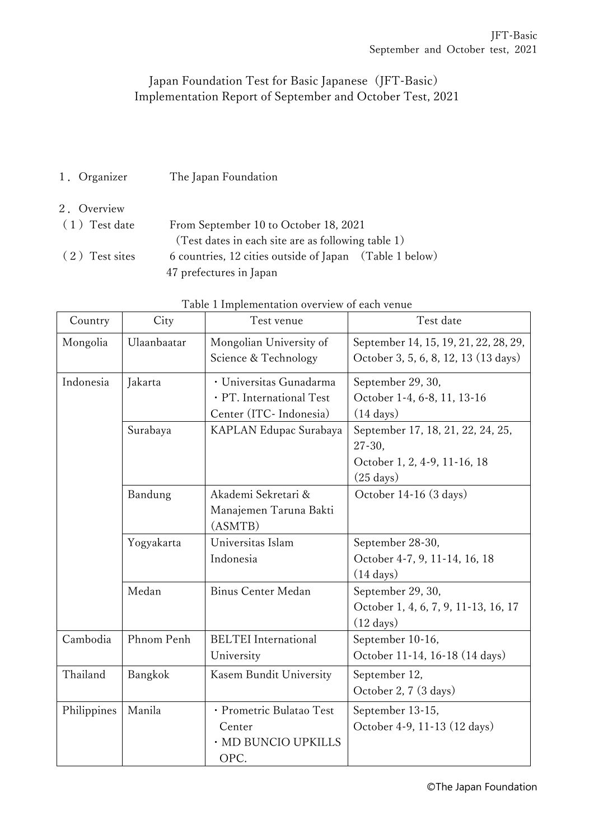## Japan Foundation Test for Basic Japanese (JFT-Basic) Implementation Report of September and October Test, 2021

1.Organizer The Japan Foundation

#### 2.Overview

| $(1)$ Test date | From September 10 to October 18, 2021                   |  |  |
|-----------------|---------------------------------------------------------|--|--|
|                 | (Test dates in each site are as following table 1)      |  |  |
| (2) Test sites  | 6 countries, 12 cities outside of Japan (Table 1 below) |  |  |
|                 | 47 prefectures in Japan                                 |  |  |

| Country     | City                                                                                      | Test venue                                                        | Test date                                                                                               |
|-------------|-------------------------------------------------------------------------------------------|-------------------------------------------------------------------|---------------------------------------------------------------------------------------------------------|
| Mongolia    | Ulaanbaatar                                                                               | Mongolian University of<br>Science & Technology                   | September 14, 15, 19, 21, 22, 28, 29,<br>October 3, 5, 6, 8, 12, 13 (13 days)                           |
| Indonesia   | · Universitas Gunadarma<br>Jakarta<br>· PT. International Test<br>Center (ITC- Indonesia) |                                                                   | September 29, 30,<br>October 1-4, 6-8, 11, 13-16<br>$(14 \text{ days})$                                 |
|             | Surabaya                                                                                  | KAPLAN Edupac Surabaya                                            | September 17, 18, 21, 22, 24, 25,<br>$27 - 30$ ,<br>October 1, 2, 4-9, 11-16, 18<br>$(25 \text{ days})$ |
|             | Bandung                                                                                   | Akademi Sekretari &<br>Manajemen Taruna Bakti<br>(ASMTB)          | October 14-16 (3 days)                                                                                  |
|             | Yogyakarta                                                                                | Universitas Islam<br>Indonesia                                    | September 28-30,<br>October 4-7, 9, 11-14, 16, 18<br>$(14 \text{ days})$                                |
|             | Medan                                                                                     | <b>Binus Center Medan</b>                                         | September 29, 30,<br>October 1, 4, 6, 7, 9, 11-13, 16, 17<br>$(12 \text{ days})$                        |
| Cambodia    | Phnom Penh                                                                                | <b>BELTEI</b> International<br>University                         | September 10-16,<br>October 11-14, 16-18 (14 days)                                                      |
| Thailand    | Bangkok                                                                                   | Kasem Bundit University                                           | September 12,<br>October 2, 7 (3 days)                                                                  |
| Philippines | Manila                                                                                    | · Prometric Bulatao Test<br>Center<br>· MD BUNCIO UPKILLS<br>OPC. | September 13-15,<br>October 4-9, 11-13 (12 days)                                                        |

# Table 1 Implementation overview of each venue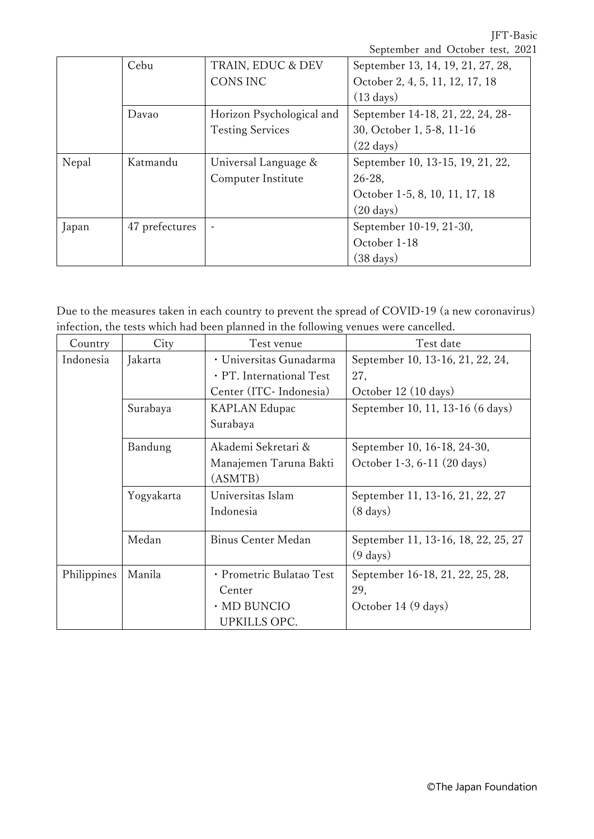JFT-Basic

|       |                |                           | September and October test, 2021  |
|-------|----------------|---------------------------|-----------------------------------|
|       | Cebu           | TRAIN, EDUC & DEV         | September 13, 14, 19, 21, 27, 28, |
|       |                | CONS INC                  | October 2, 4, 5, 11, 12, 17, 18   |
|       |                |                           | $(13 \text{ days})$               |
|       | Davao          | Horizon Psychological and | September 14-18, 21, 22, 24, 28-  |
|       |                | <b>Testing Services</b>   | 30, October 1, 5-8, 11-16         |
|       |                |                           | $(22 \text{ days})$               |
| Nepal | Katmandu       | Universal Language &      | September 10, 13-15, 19, 21, 22,  |
|       |                | Computer Institute        | $26 - 28$ ,                       |
|       |                |                           | October 1-5, 8, 10, 11, 17, 18    |
|       |                |                           | $(20 \text{ days})$               |
| Japan | 47 prefectures | $\blacksquare$            | September 10-19, 21-30,           |
|       |                |                           | October 1-18                      |
|       |                |                           | $(38 \text{ days})$               |

Due to the measures taken in each country to prevent the spread of COVID-19 (a new coronavirus) infection, the tests which had been planned in the following venues were cancelled.

| Country     | City       | Test venue                | Test date                           |
|-------------|------------|---------------------------|-------------------------------------|
| Indonesia   | Jakarta    | · Universitas Gunadarma   | September 10, 13-16, 21, 22, 24,    |
|             |            | · PT. International Test  | 27,                                 |
|             |            | Center (ITC-Indonesia)    | October 12 (10 days)                |
|             | Surabaya   | <b>KAPLAN Edupac</b>      | September 10, 11, 13-16 (6 days)    |
|             | Surabaya   |                           |                                     |
|             | Bandung    | Akademi Sekretari &       | September 10, 16-18, 24-30,         |
|             |            | Manajemen Taruna Bakti    | October 1-3, 6-11 (20 days)         |
|             |            | (ASMTB)                   |                                     |
|             | Yogyakarta | Universitas Islam         | September 11, 13-16, 21, 22, 27     |
|             |            | Indonesia                 | $(8 \text{ days})$                  |
|             |            |                           |                                     |
|             | Medan      | <b>Binus Center Medan</b> | September 11, 13-16, 18, 22, 25, 27 |
|             |            |                           | $(9 \text{ days})$                  |
| Philippines | Manila     | · Prometric Bulatao Test  | September 16-18, 21, 22, 25, 28,    |
|             |            | Center                    | 29,                                 |
|             |            | · MD BUNCIO               | October 14 (9 days)                 |
|             |            | <b>UPKILLS OPC.</b>       |                                     |